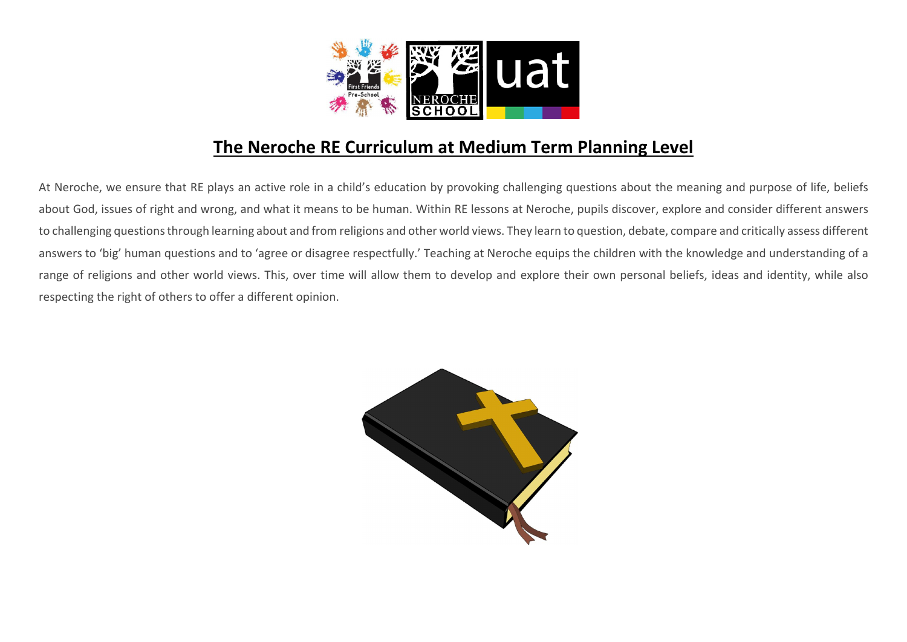

## The Neroche RE Curriculum at Medium Term Planning Level

At Neroche, we ensure that RE plays an active role in a child's education by provoking challenging questions about the meaning and purpose of life, beliefs about God, issues of right and wrong, and what it means to be human. Within RE lessons at Neroche, pupils discover, explore and consider different answers to challenging questions through learning about and from religions and other world views. They learn to question, debate, compare and critically assess different answers to 'big' human questions and to 'agree or disagree respectfully.' Teaching at Neroche equips the children with the knowledge and understanding of a range of religions and other world views. This, over time will allow them to develop and explore their own personal beliefs, ideas and identity, while also respecting the right of others to offer a different opinion.

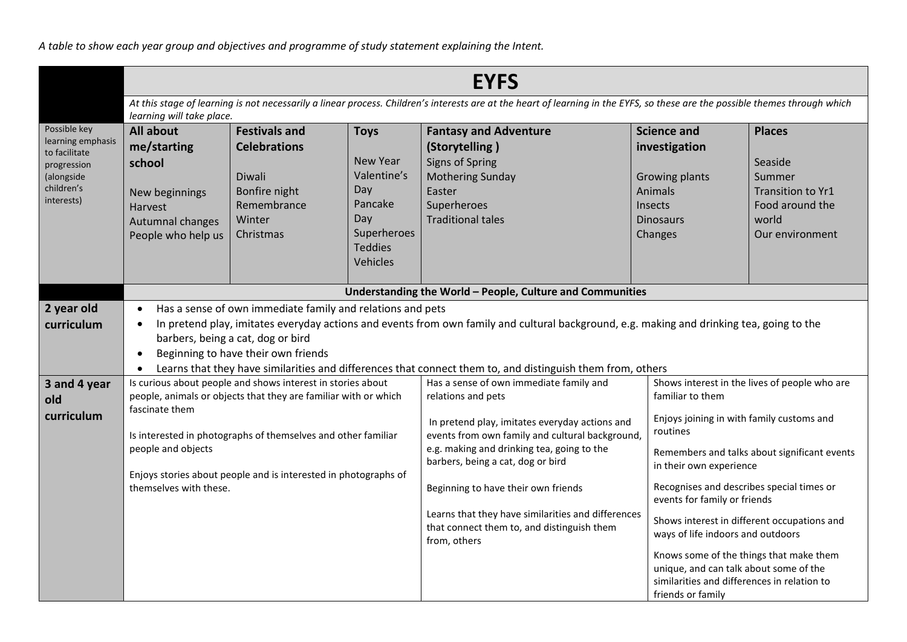*A table to show each year group and objectives and programme of study statement explaining the Intent.*

|                                                                                                             | <b>EYFS</b>                                                                                                                                                                                                                                                                                                                                                                                                                                        |                                                                                                              |                                                                                                                                                                                                                                                                                                                                                                                                                  |                                                                                                                                                                                                                                                                                         |                                                                                                                                                                                                                                      |                                                                                                        |
|-------------------------------------------------------------------------------------------------------------|----------------------------------------------------------------------------------------------------------------------------------------------------------------------------------------------------------------------------------------------------------------------------------------------------------------------------------------------------------------------------------------------------------------------------------------------------|--------------------------------------------------------------------------------------------------------------|------------------------------------------------------------------------------------------------------------------------------------------------------------------------------------------------------------------------------------------------------------------------------------------------------------------------------------------------------------------------------------------------------------------|-----------------------------------------------------------------------------------------------------------------------------------------------------------------------------------------------------------------------------------------------------------------------------------------|--------------------------------------------------------------------------------------------------------------------------------------------------------------------------------------------------------------------------------------|--------------------------------------------------------------------------------------------------------|
|                                                                                                             | At this stage of learning is not necessarily a linear process. Children's interests are at the heart of learning in the EYFS, so these are the possible themes through which<br>learning will take place.                                                                                                                                                                                                                                          |                                                                                                              |                                                                                                                                                                                                                                                                                                                                                                                                                  |                                                                                                                                                                                                                                                                                         |                                                                                                                                                                                                                                      |                                                                                                        |
| Possible key<br>learning emphasis<br>to facilitate<br>progression<br>(alongside<br>children's<br>interests) | All about<br>me/starting<br>school<br>New beginnings<br>Harvest<br>Autumnal changes<br>People who help us                                                                                                                                                                                                                                                                                                                                          | <b>Festivals and</b><br><b>Celebrations</b><br>Diwali<br>Bonfire night<br>Remembrance<br>Winter<br>Christmas | <b>Toys</b><br><b>New Year</b><br>Valentine's<br>Day<br>Pancake<br>Day<br>Superheroes<br><b>Teddies</b><br>Vehicles                                                                                                                                                                                                                                                                                              | <b>Fantasy and Adventure</b><br>(Storytelling)<br><b>Signs of Spring</b><br><b>Mothering Sunday</b><br>Easter<br>Superheroes<br><b>Traditional tales</b>                                                                                                                                | <b>Science and</b><br>investigation<br><b>Growing plants</b><br>Animals<br><b>Insects</b><br><b>Dinosaurs</b><br>Changes                                                                                                             | <b>Places</b><br>Seaside<br>Summer<br>Transition to Yr1<br>Food around the<br>world<br>Our environment |
|                                                                                                             | Understanding the World - People, Culture and Communities                                                                                                                                                                                                                                                                                                                                                                                          |                                                                                                              |                                                                                                                                                                                                                                                                                                                                                                                                                  |                                                                                                                                                                                                                                                                                         |                                                                                                                                                                                                                                      |                                                                                                        |
| 2 year old<br>curriculum                                                                                    | Has a sense of own immediate family and relations and pets<br>$\bullet$<br>In pretend play, imitates everyday actions and events from own family and cultural background, e.g. making and drinking tea, going to the<br>barbers, being a cat, dog or bird<br>Beginning to have their own friends<br>$\bullet$                                                                                                                                      |                                                                                                              |                                                                                                                                                                                                                                                                                                                                                                                                                  |                                                                                                                                                                                                                                                                                         |                                                                                                                                                                                                                                      |                                                                                                        |
| 3 and 4 year<br>old<br>curriculum                                                                           | Learns that they have similarities and differences that connect them to, and distinguish them from, others<br>Is curious about people and shows interest in stories about<br>people, animals or objects that they are familiar with or which<br>fascinate them<br>Is interested in photographs of themselves and other familiar<br>people and objects<br>Enjoys stories about people and is interested in photographs of<br>themselves with these. |                                                                                                              | Has a sense of own immediate family and<br>relations and pets<br>In pretend play, imitates everyday actions and<br>events from own family and cultural background,<br>e.g. making and drinking tea, going to the<br>barbers, being a cat, dog or bird<br>Beginning to have their own friends<br>Learns that they have similarities and differences<br>that connect them to, and distinguish them<br>from, others | familiar to them<br>Enjoys joining in with family customs and<br>routines<br>in their own experience<br>events for family or friends<br>ways of life indoors and outdoors<br>unique, and can talk about some of the<br>similarities and differences in relation to<br>friends or family | Shows interest in the lives of people who are<br>Remembers and talks about significant events<br>Recognises and describes special times or<br>Shows interest in different occupations and<br>Knows some of the things that make them |                                                                                                        |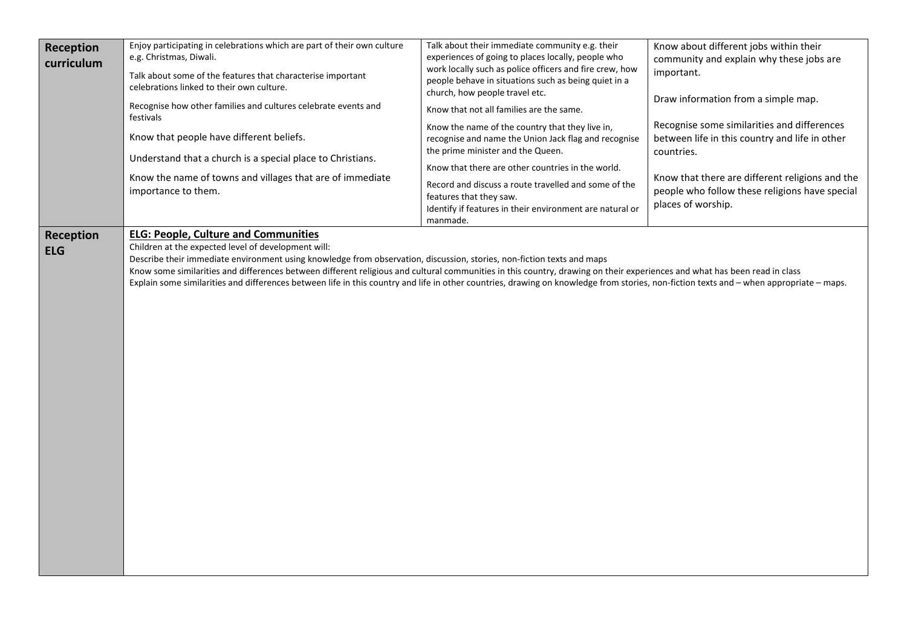| <b>Reception</b><br>curriculum | Enjoy participating in celebrations which are part of their own culture<br>e.g. Christmas, Diwali.<br>Talk about some of the features that characterise important<br>celebrations linked to their own culture.<br>Recognise how other families and cultures celebrate events and<br>festivals<br>Know that people have different beliefs.<br>Understand that a church is a special place to Christians.<br>Know the name of towns and villages that are of immediate<br>importance to them.                                                                                                          | Talk about their immediate community e.g. their<br>experiences of going to places locally, people who<br>work locally such as police officers and fire crew, how<br>people behave in situations such as being quiet in a<br>church, how people travel etc.<br>Know that not all families are the same.<br>Know the name of the country that they live in,<br>recognise and name the Union Jack flag and recognise<br>the prime minister and the Queen.<br>Know that there are other countries in the world.<br>Record and discuss a route travelled and some of the<br>features that they saw.<br>Identify if features in their environment are natural or<br>manmade. | Know about different jobs within their<br>community and explain why these jobs are<br>important.<br>Draw information from a simple map.<br>Recognise some similarities and differences<br>between life in this country and life in other<br>countries.<br>Know that there are different religions and the<br>people who follow these religions have special<br>places of worship. |
|--------------------------------|------------------------------------------------------------------------------------------------------------------------------------------------------------------------------------------------------------------------------------------------------------------------------------------------------------------------------------------------------------------------------------------------------------------------------------------------------------------------------------------------------------------------------------------------------------------------------------------------------|------------------------------------------------------------------------------------------------------------------------------------------------------------------------------------------------------------------------------------------------------------------------------------------------------------------------------------------------------------------------------------------------------------------------------------------------------------------------------------------------------------------------------------------------------------------------------------------------------------------------------------------------------------------------|-----------------------------------------------------------------------------------------------------------------------------------------------------------------------------------------------------------------------------------------------------------------------------------------------------------------------------------------------------------------------------------|
| <b>Reception</b><br><b>ELG</b> | <b>ELG: People, Culture and Communities</b><br>Children at the expected level of development will:<br>Describe their immediate environment using knowledge from observation, discussion, stories, non-fiction texts and maps<br>Know some similarities and differences between different religious and cultural communities in this country, drawing on their experiences and what has been read in class<br>Explain some similarities and differences between life in this country and life in other countries, drawing on knowledge from stories, non-fiction texts and - when appropriate - maps. |                                                                                                                                                                                                                                                                                                                                                                                                                                                                                                                                                                                                                                                                        |                                                                                                                                                                                                                                                                                                                                                                                   |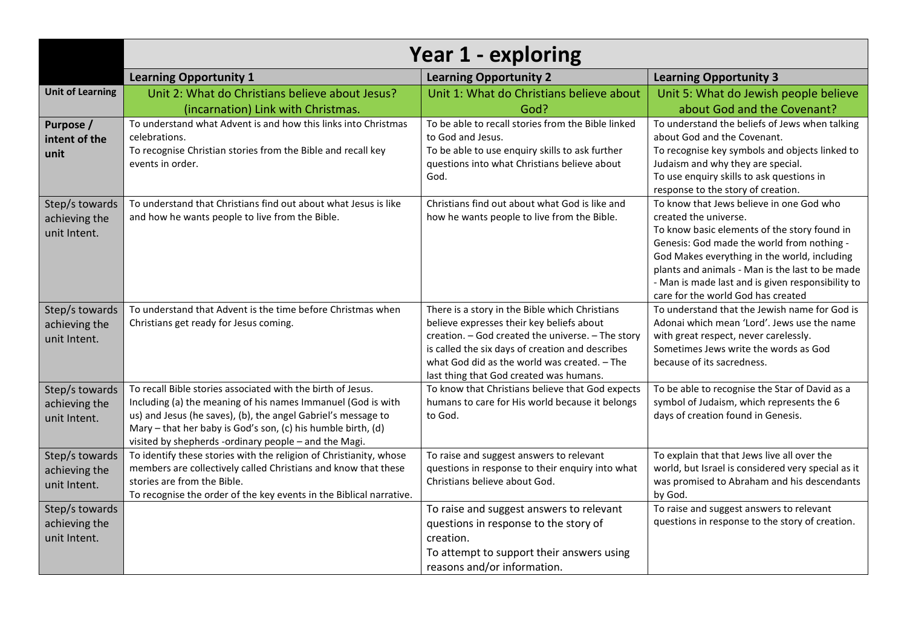|                                                 | <b>Year 1 - exploring</b>                                                                                                                                                                                                                                                                                             |                                                                                                                                                                                                                                                                                                 |                                                                                                                                                                                                                                                                                                                                                               |  |  |
|-------------------------------------------------|-----------------------------------------------------------------------------------------------------------------------------------------------------------------------------------------------------------------------------------------------------------------------------------------------------------------------|-------------------------------------------------------------------------------------------------------------------------------------------------------------------------------------------------------------------------------------------------------------------------------------------------|---------------------------------------------------------------------------------------------------------------------------------------------------------------------------------------------------------------------------------------------------------------------------------------------------------------------------------------------------------------|--|--|
|                                                 | <b>Learning Opportunity 1</b>                                                                                                                                                                                                                                                                                         | <b>Learning Opportunity 2</b>                                                                                                                                                                                                                                                                   | <b>Learning Opportunity 3</b>                                                                                                                                                                                                                                                                                                                                 |  |  |
| <b>Unit of Learning</b>                         | Unit 2: What do Christians believe about Jesus?                                                                                                                                                                                                                                                                       | Unit 1: What do Christians believe about                                                                                                                                                                                                                                                        | Unit 5: What do Jewish people believe                                                                                                                                                                                                                                                                                                                         |  |  |
|                                                 | (incarnation) Link with Christmas.                                                                                                                                                                                                                                                                                    | God?                                                                                                                                                                                                                                                                                            | about God and the Covenant?                                                                                                                                                                                                                                                                                                                                   |  |  |
| Purpose /<br>intent of the<br>unit              | To understand what Advent is and how this links into Christmas<br>celebrations.<br>To recognise Christian stories from the Bible and recall key<br>events in order.                                                                                                                                                   | To be able to recall stories from the Bible linked<br>to God and Jesus.<br>To be able to use enquiry skills to ask further<br>questions into what Christians believe about<br>God.                                                                                                              | To understand the beliefs of Jews when talking<br>about God and the Covenant.<br>To recognise key symbols and objects linked to<br>Judaism and why they are special.<br>To use enquiry skills to ask questions in<br>response to the story of creation.                                                                                                       |  |  |
| Step/s towards<br>achieving the<br>unit Intent. | To understand that Christians find out about what Jesus is like<br>and how he wants people to live from the Bible.                                                                                                                                                                                                    | Christians find out about what God is like and<br>how he wants people to live from the Bible.                                                                                                                                                                                                   | To know that Jews believe in one God who<br>created the universe.<br>To know basic elements of the story found in<br>Genesis: God made the world from nothing -<br>God Makes everything in the world, including<br>plants and animals - Man is the last to be made<br>- Man is made last and is given responsibility to<br>care for the world God has created |  |  |
| Step/s towards<br>achieving the<br>unit Intent. | To understand that Advent is the time before Christmas when<br>Christians get ready for Jesus coming.                                                                                                                                                                                                                 | There is a story in the Bible which Christians<br>believe expresses their key beliefs about<br>creation. - God created the universe. - The story<br>is called the six days of creation and describes<br>what God did as the world was created. - The<br>last thing that God created was humans. | To understand that the Jewish name for God is<br>Adonai which mean 'Lord'. Jews use the name<br>with great respect, never carelessly.<br>Sometimes Jews write the words as God<br>because of its sacredness.                                                                                                                                                  |  |  |
| Step/s towards<br>achieving the<br>unit Intent. | To recall Bible stories associated with the birth of Jesus.<br>Including (a) the meaning of his names Immanuel (God is with<br>us) and Jesus (he saves), (b), the angel Gabriel's message to<br>Mary - that her baby is God's son, (c) his humble birth, (d)<br>visited by shepherds -ordinary people - and the Magi. | To know that Christians believe that God expects<br>humans to care for His world because it belongs<br>to God.                                                                                                                                                                                  | To be able to recognise the Star of David as a<br>symbol of Judaism, which represents the 6<br>days of creation found in Genesis.                                                                                                                                                                                                                             |  |  |
| Step/s towards<br>achieving the<br>unit Intent. | To identify these stories with the religion of Christianity, whose<br>members are collectively called Christians and know that these<br>stories are from the Bible.<br>To recognise the order of the key events in the Biblical narrative.                                                                            | To raise and suggest answers to relevant<br>questions in response to their enquiry into what<br>Christians believe about God.                                                                                                                                                                   | To explain that that Jews live all over the<br>world, but Israel is considered very special as it<br>was promised to Abraham and his descendants<br>by God.                                                                                                                                                                                                   |  |  |
| Step/s towards<br>achieving the<br>unit Intent. |                                                                                                                                                                                                                                                                                                                       | To raise and suggest answers to relevant<br>questions in response to the story of<br>creation.<br>To attempt to support their answers using<br>reasons and/or information.                                                                                                                      | To raise and suggest answers to relevant<br>questions in response to the story of creation.                                                                                                                                                                                                                                                                   |  |  |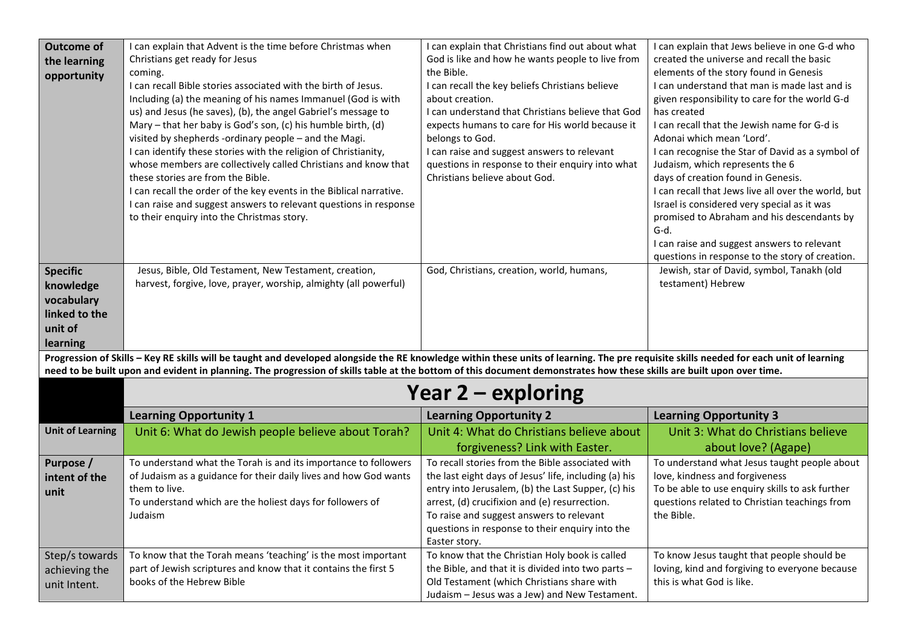| <b>Outcome of</b>       | I can explain that Advent is the time before Christmas when                                                                                                                             | I can explain that Christians find out about what                                           | I can explain that Jews believe in one G-d who      |
|-------------------------|-----------------------------------------------------------------------------------------------------------------------------------------------------------------------------------------|---------------------------------------------------------------------------------------------|-----------------------------------------------------|
| the learning            | Christians get ready for Jesus                                                                                                                                                          | God is like and how he wants people to live from                                            | created the universe and recall the basic           |
|                         | coming.                                                                                                                                                                                 | the Bible.                                                                                  | elements of the story found in Genesis              |
| opportunity             | I can recall Bible stories associated with the birth of Jesus.                                                                                                                          | I can recall the key beliefs Christians believe                                             | I can understand that man is made last and is       |
|                         | Including (a) the meaning of his names Immanuel (God is with                                                                                                                            | about creation.                                                                             | given responsibility to care for the world G-d      |
|                         | us) and Jesus (he saves), (b), the angel Gabriel's message to                                                                                                                           | I can understand that Christians believe that God                                           | has created                                         |
|                         | Mary - that her baby is God's son, (c) his humble birth, (d)                                                                                                                            | expects humans to care for His world because it                                             | I can recall that the Jewish name for G-d is        |
|                         | visited by shepherds -ordinary people - and the Magi.                                                                                                                                   | belongs to God.                                                                             | Adonai which mean 'Lord'.                           |
|                         | I can identify these stories with the religion of Christianity,                                                                                                                         | I can raise and suggest answers to relevant                                                 | I can recognise the Star of David as a symbol of    |
|                         | whose members are collectively called Christians and know that                                                                                                                          | questions in response to their enquiry into what                                            | Judaism, which represents the 6                     |
|                         | these stories are from the Bible.                                                                                                                                                       | Christians believe about God.                                                               | days of creation found in Genesis.                  |
|                         | I can recall the order of the key events in the Biblical narrative.                                                                                                                     |                                                                                             | I can recall that Jews live all over the world, but |
|                         | I can raise and suggest answers to relevant questions in response                                                                                                                       |                                                                                             | Israel is considered very special as it was         |
|                         | to their enquiry into the Christmas story.                                                                                                                                              |                                                                                             | promised to Abraham and his descendants by          |
|                         |                                                                                                                                                                                         |                                                                                             | G-d.                                                |
|                         |                                                                                                                                                                                         |                                                                                             | I can raise and suggest answers to relevant         |
|                         |                                                                                                                                                                                         |                                                                                             | questions in response to the story of creation.     |
| <b>Specific</b>         | Jesus, Bible, Old Testament, New Testament, creation,                                                                                                                                   | God, Christians, creation, world, humans,                                                   | Jewish, star of David, symbol, Tanakh (old          |
| knowledge               | harvest, forgive, love, prayer, worship, almighty (all powerful)                                                                                                                        |                                                                                             | testament) Hebrew                                   |
| vocabulary              |                                                                                                                                                                                         |                                                                                             |                                                     |
| linked to the           |                                                                                                                                                                                         |                                                                                             |                                                     |
| unit of                 |                                                                                                                                                                                         |                                                                                             |                                                     |
| learning                |                                                                                                                                                                                         |                                                                                             |                                                     |
|                         | Progression of Skills - Key RE skills will be taught and developed alongside the RE knowledge within these units of learning. The pre requisite skills needed for each unit of learning |                                                                                             |                                                     |
|                         | need to be built upon and evident in planning. The progression of skills table at the bottom of this document demonstrates how these skills are built upon over time.                   |                                                                                             |                                                     |
|                         |                                                                                                                                                                                         | Year 2 – exploring                                                                          |                                                     |
|                         | <b>Learning Opportunity 1</b>                                                                                                                                                           | <b>Learning Opportunity 2</b>                                                               | <b>Learning Opportunity 3</b>                       |
| <b>Unit of Learning</b> | Unit 6: What do Jewish people believe about Torah?                                                                                                                                      | Unit 4: What do Christians believe about                                                    | Unit 3: What do Christians believe                  |
|                         |                                                                                                                                                                                         | forgiveness? Link with Easter.                                                              | about love? (Agape)                                 |
| Purpose /               | To understand what the Torah is and its importance to followers                                                                                                                         | To recall stories from the Bible associated with                                            | To understand what Jesus taught people about        |
| intent of the           | of Judaism as a guidance for their daily lives and how God wants                                                                                                                        | the last eight days of Jesus' life, including (a) his                                       | love, kindness and forgiveness                      |
| unit                    | them to live.                                                                                                                                                                           | entry into Jerusalem, (b) the Last Supper, (c) his                                          | To be able to use enquiry skills to ask further     |
|                         | To understand which are the holiest days for followers of                                                                                                                               | arrest, (d) crucifixion and (e) resurrection.                                               | questions related to Christian teachings from       |
|                         | Judaism                                                                                                                                                                                 | To raise and suggest answers to relevant                                                    | the Bible.                                          |
|                         |                                                                                                                                                                                         | questions in response to their enquiry into the                                             |                                                     |
|                         |                                                                                                                                                                                         | Easter story.                                                                               |                                                     |
| Step/s towards          | To know that the Torah means 'teaching' is the most important                                                                                                                           | To know that the Christian Holy book is called                                              | To know Jesus taught that people should be          |
| achieving the           | part of Jewish scriptures and know that it contains the first 5                                                                                                                         | the Bible, and that it is divided into two parts -                                          | loving, kind and forgiving to everyone because      |
|                         |                                                                                                                                                                                         |                                                                                             |                                                     |
| unit Intent.            | books of the Hebrew Bible                                                                                                                                                               | Old Testament (which Christians share with<br>Judaism - Jesus was a Jew) and New Testament. | this is what God is like.                           |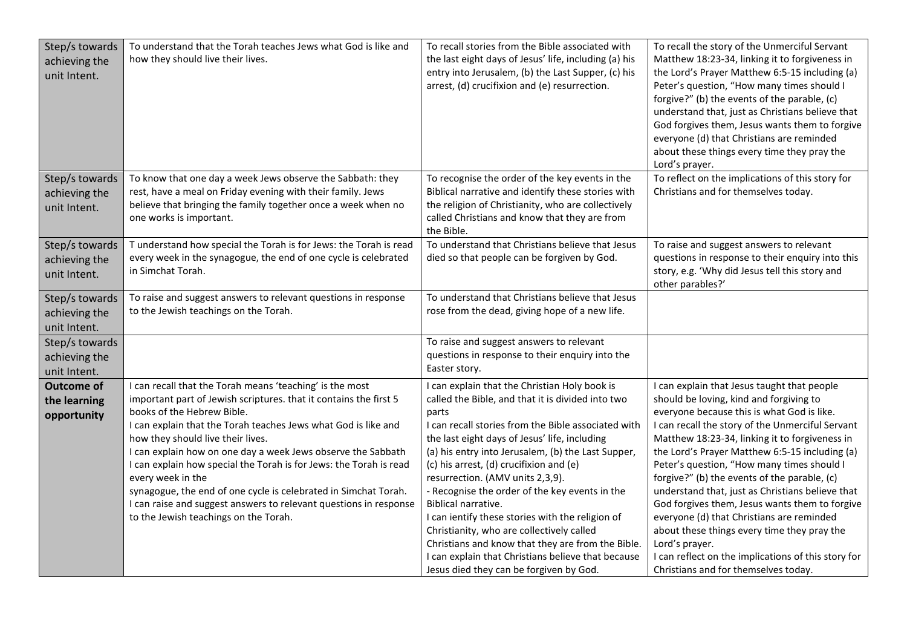| Step/s towards<br>achieving the<br>unit Intent.  | To understand that the Torah teaches Jews what God is like and<br>how they should live their lives.                                                                                                                                                                                                                                                                                                                                                                                                                                                                                                          | To recall stories from the Bible associated with<br>the last eight days of Jesus' life, including (a) his<br>entry into Jerusalem, (b) the Last Supper, (c) his<br>arrest, (d) crucifixion and (e) resurrection.                                                                                                                                                                                                                                                                                                                                                                                                                                                                         | To recall the story of the Unmerciful Servant<br>Matthew 18:23-34, linking it to forgiveness in<br>the Lord's Prayer Matthew 6:5-15 including (a)<br>Peter's question, "How many times should I<br>forgive?" (b) the events of the parable, (c)<br>understand that, just as Christians believe that<br>God forgives them, Jesus wants them to forgive<br>everyone (d) that Christians are reminded<br>about these things every time they pray the<br>Lord's prayer.                                                                                                                                                                                                                                           |
|--------------------------------------------------|--------------------------------------------------------------------------------------------------------------------------------------------------------------------------------------------------------------------------------------------------------------------------------------------------------------------------------------------------------------------------------------------------------------------------------------------------------------------------------------------------------------------------------------------------------------------------------------------------------------|------------------------------------------------------------------------------------------------------------------------------------------------------------------------------------------------------------------------------------------------------------------------------------------------------------------------------------------------------------------------------------------------------------------------------------------------------------------------------------------------------------------------------------------------------------------------------------------------------------------------------------------------------------------------------------------|---------------------------------------------------------------------------------------------------------------------------------------------------------------------------------------------------------------------------------------------------------------------------------------------------------------------------------------------------------------------------------------------------------------------------------------------------------------------------------------------------------------------------------------------------------------------------------------------------------------------------------------------------------------------------------------------------------------|
| Step/s towards<br>achieving the<br>unit Intent.  | To know that one day a week Jews observe the Sabbath: they<br>rest, have a meal on Friday evening with their family. Jews<br>believe that bringing the family together once a week when no<br>one works is important.                                                                                                                                                                                                                                                                                                                                                                                        | To recognise the order of the key events in the<br>Biblical narrative and identify these stories with<br>the religion of Christianity, who are collectively<br>called Christians and know that they are from<br>the Bible.                                                                                                                                                                                                                                                                                                                                                                                                                                                               | To reflect on the implications of this story for<br>Christians and for themselves today.                                                                                                                                                                                                                                                                                                                                                                                                                                                                                                                                                                                                                      |
| Step/s towards<br>achieving the<br>unit Intent.  | T understand how special the Torah is for Jews: the Torah is read<br>every week in the synagogue, the end of one cycle is celebrated<br>in Simchat Torah.                                                                                                                                                                                                                                                                                                                                                                                                                                                    | To understand that Christians believe that Jesus<br>died so that people can be forgiven by God.                                                                                                                                                                                                                                                                                                                                                                                                                                                                                                                                                                                          | To raise and suggest answers to relevant<br>questions in response to their enquiry into this<br>story, e.g. 'Why did Jesus tell this story and<br>other parables?'                                                                                                                                                                                                                                                                                                                                                                                                                                                                                                                                            |
| Step/s towards<br>achieving the<br>unit Intent.  | To raise and suggest answers to relevant questions in response<br>to the Jewish teachings on the Torah.                                                                                                                                                                                                                                                                                                                                                                                                                                                                                                      | To understand that Christians believe that Jesus<br>rose from the dead, giving hope of a new life.                                                                                                                                                                                                                                                                                                                                                                                                                                                                                                                                                                                       |                                                                                                                                                                                                                                                                                                                                                                                                                                                                                                                                                                                                                                                                                                               |
| Step/s towards<br>achieving the<br>unit Intent.  |                                                                                                                                                                                                                                                                                                                                                                                                                                                                                                                                                                                                              | To raise and suggest answers to relevant<br>questions in response to their enquiry into the<br>Easter story.                                                                                                                                                                                                                                                                                                                                                                                                                                                                                                                                                                             |                                                                                                                                                                                                                                                                                                                                                                                                                                                                                                                                                                                                                                                                                                               |
| <b>Outcome of</b><br>the learning<br>opportunity | can recall that the Torah means 'teaching' is the most<br>important part of Jewish scriptures. that it contains the first 5<br>books of the Hebrew Bible.<br>I can explain that the Torah teaches Jews what God is like and<br>how they should live their lives.<br>I can explain how on one day a week Jews observe the Sabbath<br>I can explain how special the Torah is for Jews: the Torah is read<br>every week in the<br>synagogue, the end of one cycle is celebrated in Simchat Torah.<br>I can raise and suggest answers to relevant questions in response<br>to the Jewish teachings on the Torah. | I can explain that the Christian Holy book is<br>called the Bible, and that it is divided into two<br>parts<br>I can recall stories from the Bible associated with<br>the last eight days of Jesus' life, including<br>(a) his entry into Jerusalem, (b) the Last Supper,<br>(c) his arrest, (d) crucifixion and (e)<br>resurrection. (AMV units 2,3,9).<br>- Recognise the order of the key events in the<br>Biblical narrative.<br>I can ientify these stories with the religion of<br>Christianity, who are collectively called<br>Christians and know that they are from the Bible.<br>I can explain that Christians believe that because<br>Jesus died they can be forgiven by God. | I can explain that Jesus taught that people<br>should be loving, kind and forgiving to<br>everyone because this is what God is like.<br>I can recall the story of the Unmerciful Servant<br>Matthew 18:23-34, linking it to forgiveness in<br>the Lord's Prayer Matthew 6:5-15 including (a)<br>Peter's question, "How many times should I<br>forgive?" (b) the events of the parable, (c)<br>understand that, just as Christians believe that<br>God forgives them, Jesus wants them to forgive<br>everyone (d) that Christians are reminded<br>about these things every time they pray the<br>Lord's prayer.<br>I can reflect on the implications of this story for<br>Christians and for themselves today. |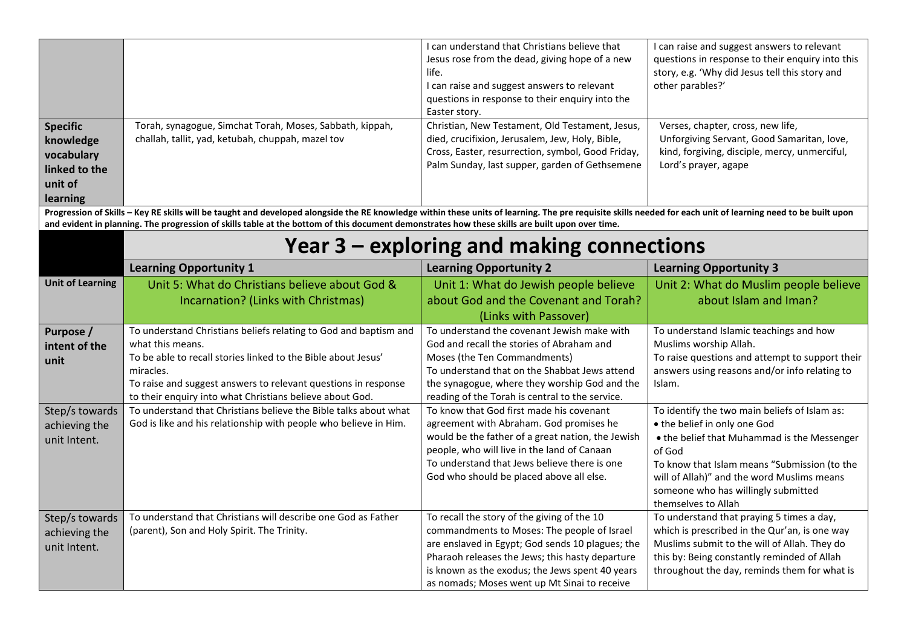|                                                                                    |                                                                                                                                                                                                                                                                                                                                                                  | I can understand that Christians believe that<br>Jesus rose from the dead, giving hope of a new<br>life.<br>I can raise and suggest answers to relevant<br>questions in response to their enquiry into the<br>Easter story. | I can raise and suggest answers to relevant<br>questions in response to their enquiry into this<br>story, e.g. 'Why did Jesus tell this story and<br>other parables?' |
|------------------------------------------------------------------------------------|------------------------------------------------------------------------------------------------------------------------------------------------------------------------------------------------------------------------------------------------------------------------------------------------------------------------------------------------------------------|-----------------------------------------------------------------------------------------------------------------------------------------------------------------------------------------------------------------------------|-----------------------------------------------------------------------------------------------------------------------------------------------------------------------|
| <b>Specific</b><br>knowledge<br>vocabulary<br>linked to the<br>unit of<br>learning | Torah, synagogue, Simchat Torah, Moses, Sabbath, kippah,<br>challah, tallit, yad, ketubah, chuppah, mazel tov                                                                                                                                                                                                                                                    | Christian, New Testament, Old Testament, Jesus,<br>died, crucifixion, Jerusalem, Jew, Holy, Bible,<br>Cross, Easter, resurrection, symbol, Good Friday,<br>Palm Sunday, last supper, garden of Gethsemene                   | Verses, chapter, cross, new life,<br>Unforgiving Servant, Good Samaritan, love,<br>kind, forgiving, disciple, mercy, unmerciful,<br>Lord's prayer, agape              |
|                                                                                    | Progression of Skills - Key RE skills will be taught and developed alongside the RE knowledge within these units of learning. The pre requisite skills needed for each unit of learning need to be built upon<br>and evident in planning. The progression of skills table at the bottom of this document demonstrates how these skills are built upon over time. |                                                                                                                                                                                                                             |                                                                                                                                                                       |
|                                                                                    |                                                                                                                                                                                                                                                                                                                                                                  | Year 3 – exploring and making connections                                                                                                                                                                                   |                                                                                                                                                                       |
|                                                                                    | <b>Learning Opportunity 1</b>                                                                                                                                                                                                                                                                                                                                    | <b>Learning Opportunity 2</b>                                                                                                                                                                                               | <b>Learning Opportunity 3</b>                                                                                                                                         |
| <b>Unit of Learning</b>                                                            | Unit 5: What do Christians believe about God &                                                                                                                                                                                                                                                                                                                   | Unit 1: What do Jewish people believe                                                                                                                                                                                       | Unit 2: What do Muslim people believe                                                                                                                                 |
|                                                                                    | Incarnation? (Links with Christmas)                                                                                                                                                                                                                                                                                                                              | about God and the Covenant and Torah?                                                                                                                                                                                       | about Islam and Iman?                                                                                                                                                 |
|                                                                                    |                                                                                                                                                                                                                                                                                                                                                                  | (Links with Passover)                                                                                                                                                                                                       |                                                                                                                                                                       |
| Purpose /                                                                          | To understand Christians beliefs relating to God and baptism and                                                                                                                                                                                                                                                                                                 | To understand the covenant Jewish make with                                                                                                                                                                                 | To understand Islamic teachings and how                                                                                                                               |
| intent of the                                                                      | what this means.                                                                                                                                                                                                                                                                                                                                                 | God and recall the stories of Abraham and                                                                                                                                                                                   | Muslims worship Allah.                                                                                                                                                |
| unit                                                                               | To be able to recall stories linked to the Bible about Jesus'                                                                                                                                                                                                                                                                                                    | Moses (the Ten Commandments)                                                                                                                                                                                                | To raise questions and attempt to support their                                                                                                                       |
|                                                                                    | miracles.                                                                                                                                                                                                                                                                                                                                                        | To understand that on the Shabbat Jews attend                                                                                                                                                                               | answers using reasons and/or info relating to                                                                                                                         |
|                                                                                    | To raise and suggest answers to relevant questions in response                                                                                                                                                                                                                                                                                                   | the synagogue, where they worship God and the                                                                                                                                                                               | Islam.                                                                                                                                                                |
|                                                                                    | to their enquiry into what Christians believe about God.<br>To understand that Christians believe the Bible talks about what                                                                                                                                                                                                                                     | reading of the Torah is central to the service.<br>To know that God first made his covenant                                                                                                                                 | To identify the two main beliefs of Islam as:                                                                                                                         |
| Step/s towards<br>achieving the                                                    | God is like and his relationship with people who believe in Him.                                                                                                                                                                                                                                                                                                 | agreement with Abraham. God promises he                                                                                                                                                                                     | . the belief in only one God                                                                                                                                          |
|                                                                                    |                                                                                                                                                                                                                                                                                                                                                                  | would be the father of a great nation, the Jewish                                                                                                                                                                           | • the belief that Muhammad is the Messenger                                                                                                                           |
| unit Intent.                                                                       |                                                                                                                                                                                                                                                                                                                                                                  | people, who will live in the land of Canaan                                                                                                                                                                                 | of God                                                                                                                                                                |
|                                                                                    |                                                                                                                                                                                                                                                                                                                                                                  | To understand that Jews believe there is one                                                                                                                                                                                | To know that Islam means "Submission (to the                                                                                                                          |
|                                                                                    |                                                                                                                                                                                                                                                                                                                                                                  | God who should be placed above all else.                                                                                                                                                                                    | will of Allah)" and the word Muslims means                                                                                                                            |
|                                                                                    |                                                                                                                                                                                                                                                                                                                                                                  |                                                                                                                                                                                                                             | someone who has willingly submitted                                                                                                                                   |
|                                                                                    |                                                                                                                                                                                                                                                                                                                                                                  |                                                                                                                                                                                                                             | themselves to Allah                                                                                                                                                   |
| Step/s towards                                                                     | To understand that Christians will describe one God as Father                                                                                                                                                                                                                                                                                                    | To recall the story of the giving of the 10                                                                                                                                                                                 | To understand that praying 5 times a day,                                                                                                                             |
| achieving the                                                                      | (parent), Son and Holy Spirit. The Trinity.                                                                                                                                                                                                                                                                                                                      | commandments to Moses: The people of Israel                                                                                                                                                                                 | which is prescribed in the Qur'an, is one way                                                                                                                         |
| unit Intent.                                                                       |                                                                                                                                                                                                                                                                                                                                                                  | are enslaved in Egypt; God sends 10 plagues; the                                                                                                                                                                            | Muslims submit to the will of Allah. They do                                                                                                                          |
|                                                                                    |                                                                                                                                                                                                                                                                                                                                                                  | Pharaoh releases the Jews; this hasty departure<br>is known as the exodus; the Jews spent 40 years                                                                                                                          | this by: Being constantly reminded of Allah<br>throughout the day, reminds them for what is                                                                           |
|                                                                                    |                                                                                                                                                                                                                                                                                                                                                                  | as nomads; Moses went up Mt Sinai to receive                                                                                                                                                                                |                                                                                                                                                                       |
|                                                                                    |                                                                                                                                                                                                                                                                                                                                                                  |                                                                                                                                                                                                                             |                                                                                                                                                                       |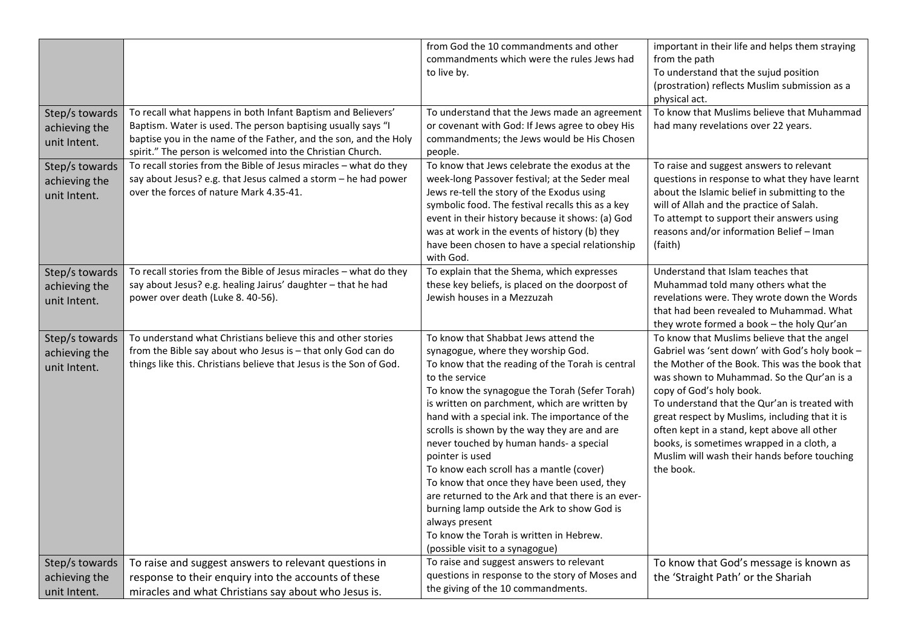| Step/s towards<br>achieving the                 | To recall what happens in both Infant Baptism and Believers'<br>Baptism. Water is used. The person baptising usually says "I                                                                       | from God the 10 commandments and other<br>commandments which were the rules Jews had<br>to live by.<br>To understand that the Jews made an agreement<br>or covenant with God: If Jews agree to obey His                                                                                                                                                                                                                                                                                                                                                                                                                                                                                                            | important in their life and helps them straying<br>from the path<br>To understand that the sujud position<br>(prostration) reflects Muslim submission as a<br>physical act.<br>To know that Muslims believe that Muhammad<br>had many revelations over 22 years.                                                                                                                                                                                                                     |
|-------------------------------------------------|----------------------------------------------------------------------------------------------------------------------------------------------------------------------------------------------------|--------------------------------------------------------------------------------------------------------------------------------------------------------------------------------------------------------------------------------------------------------------------------------------------------------------------------------------------------------------------------------------------------------------------------------------------------------------------------------------------------------------------------------------------------------------------------------------------------------------------------------------------------------------------------------------------------------------------|--------------------------------------------------------------------------------------------------------------------------------------------------------------------------------------------------------------------------------------------------------------------------------------------------------------------------------------------------------------------------------------------------------------------------------------------------------------------------------------|
| unit Intent.                                    | baptise you in the name of the Father, and the son, and the Holy<br>spirit." The person is welcomed into the Christian Church.                                                                     | commandments; the Jews would be His Chosen<br>people.                                                                                                                                                                                                                                                                                                                                                                                                                                                                                                                                                                                                                                                              |                                                                                                                                                                                                                                                                                                                                                                                                                                                                                      |
| Step/s towards<br>achieving the<br>unit Intent. | To recall stories from the Bible of Jesus miracles - what do they<br>say about Jesus? e.g. that Jesus calmed a storm - he had power<br>over the forces of nature Mark 4.35-41.                     | To know that Jews celebrate the exodus at the<br>week-long Passover festival; at the Seder meal<br>Jews re-tell the story of the Exodus using<br>symbolic food. The festival recalls this as a key<br>event in their history because it shows: (a) God<br>was at work in the events of history (b) they<br>have been chosen to have a special relationship<br>with God.                                                                                                                                                                                                                                                                                                                                            | To raise and suggest answers to relevant<br>questions in response to what they have learnt<br>about the Islamic belief in submitting to the<br>will of Allah and the practice of Salah.<br>To attempt to support their answers using<br>reasons and/or information Belief - Iman<br>(faith)                                                                                                                                                                                          |
| Step/s towards<br>achieving the<br>unit Intent. | To recall stories from the Bible of Jesus miracles - what do they<br>say about Jesus? e.g. healing Jairus' daughter - that he had<br>power over death (Luke 8. 40-56).                             | To explain that the Shema, which expresses<br>these key beliefs, is placed on the doorpost of<br>Jewish houses in a Mezzuzah                                                                                                                                                                                                                                                                                                                                                                                                                                                                                                                                                                                       | Understand that Islam teaches that<br>Muhammad told many others what the<br>revelations were. They wrote down the Words<br>that had been revealed to Muhammad. What<br>they wrote formed a book - the holy Qur'an                                                                                                                                                                                                                                                                    |
| Step/s towards<br>achieving the<br>unit Intent. | To understand what Christians believe this and other stories<br>from the Bible say about who Jesus is - that only God can do<br>things like this. Christians believe that Jesus is the Son of God. | To know that Shabbat Jews attend the<br>synagogue, where they worship God.<br>To know that the reading of the Torah is central<br>to the service<br>To know the synagogue the Torah (Sefer Torah)<br>is written on parchment, which are written by<br>hand with a special ink. The importance of the<br>scrolls is shown by the way they are and are<br>never touched by human hands- a special<br>pointer is used<br>To know each scroll has a mantle (cover)<br>To know that once they have been used, they<br>are returned to the Ark and that there is an ever-<br>burning lamp outside the Ark to show God is<br>always present<br>To know the Torah is written in Hebrew.<br>(possible visit to a synagogue) | To know that Muslims believe that the angel<br>Gabriel was 'sent down' with God's holy book -<br>the Mother of the Book. This was the book that<br>was shown to Muhammad. So the Qur'an is a<br>copy of God's holy book.<br>To understand that the Qur'an is treated with<br>great respect by Muslims, including that it is<br>often kept in a stand, kept above all other<br>books, is sometimes wrapped in a cloth, a<br>Muslim will wash their hands before touching<br>the book. |
| Step/s towards<br>achieving the<br>unit Intent. | To raise and suggest answers to relevant questions in<br>response to their enquiry into the accounts of these<br>miracles and what Christians say about who Jesus is.                              | To raise and suggest answers to relevant<br>questions in response to the story of Moses and<br>the giving of the 10 commandments.                                                                                                                                                                                                                                                                                                                                                                                                                                                                                                                                                                                  | To know that God's message is known as<br>the 'Straight Path' or the Shariah                                                                                                                                                                                                                                                                                                                                                                                                         |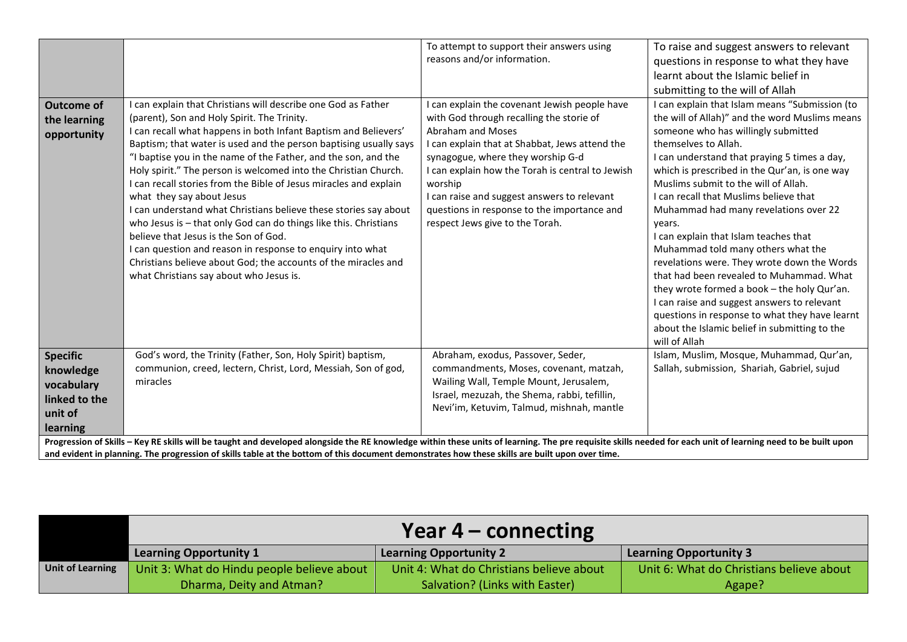| <b>Outcome of</b><br>the learning<br>opportunity                                   | can explain that Christians will describe one God as Father<br>(parent), Son and Holy Spirit. The Trinity.<br>I can recall what happens in both Infant Baptism and Believers'<br>Baptism; that water is used and the person baptising usually says<br>"I baptise you in the name of the Father, and the son, and the<br>Holy spirit." The person is welcomed into the Christian Church.<br>I can recall stories from the Bible of Jesus miracles and explain<br>what they say about Jesus<br>I can understand what Christians believe these stories say about<br>who Jesus is - that only God can do things like this. Christians<br>believe that Jesus is the Son of God.<br>I can question and reason in response to enquiry into what | To attempt to support their answers using<br>reasons and/or information.<br>I can explain the covenant Jewish people have<br>with God through recalling the storie of<br>Abraham and Moses<br>I can explain that at Shabbat, Jews attend the<br>synagogue, where they worship G-d<br>I can explain how the Torah is central to Jewish<br>worship<br>I can raise and suggest answers to relevant<br>questions in response to the importance and<br>respect Jews give to the Torah. | To raise and suggest answers to relevant<br>questions in response to what they have<br>learnt about the Islamic belief in<br>submitting to the will of Allah<br>I can explain that Islam means "Submission (to<br>the will of Allah)" and the word Muslims means<br>someone who has willingly submitted<br>themselves to Allah.<br>I can understand that praying 5 times a day,<br>which is prescribed in the Qur'an, is one way<br>Muslims submit to the will of Allah.<br>I can recall that Muslims believe that<br>Muhammad had many revelations over 22<br>vears.<br>I can explain that Islam teaches that<br>Muhammad told many others what the |
|------------------------------------------------------------------------------------|------------------------------------------------------------------------------------------------------------------------------------------------------------------------------------------------------------------------------------------------------------------------------------------------------------------------------------------------------------------------------------------------------------------------------------------------------------------------------------------------------------------------------------------------------------------------------------------------------------------------------------------------------------------------------------------------------------------------------------------|-----------------------------------------------------------------------------------------------------------------------------------------------------------------------------------------------------------------------------------------------------------------------------------------------------------------------------------------------------------------------------------------------------------------------------------------------------------------------------------|------------------------------------------------------------------------------------------------------------------------------------------------------------------------------------------------------------------------------------------------------------------------------------------------------------------------------------------------------------------------------------------------------------------------------------------------------------------------------------------------------------------------------------------------------------------------------------------------------------------------------------------------------|
|                                                                                    | Christians believe about God; the accounts of the miracles and<br>what Christians say about who Jesus is.                                                                                                                                                                                                                                                                                                                                                                                                                                                                                                                                                                                                                                |                                                                                                                                                                                                                                                                                                                                                                                                                                                                                   | revelations were. They wrote down the Words<br>that had been revealed to Muhammad. What<br>they wrote formed a book - the holy Qur'an.<br>I can raise and suggest answers to relevant<br>questions in response to what they have learnt<br>about the Islamic belief in submitting to the<br>will of Allah                                                                                                                                                                                                                                                                                                                                            |
| <b>Specific</b><br>knowledge<br>vocabulary<br>linked to the<br>unit of<br>learning | God's word, the Trinity (Father, Son, Holy Spirit) baptism,<br>communion, creed, lectern, Christ, Lord, Messiah, Son of god,<br>miracles                                                                                                                                                                                                                                                                                                                                                                                                                                                                                                                                                                                                 | Abraham, exodus, Passover, Seder,<br>commandments, Moses, covenant, matzah,<br>Wailing Wall, Temple Mount, Jerusalem,<br>Israel, mezuzah, the Shema, rabbi, tefillin,<br>Nevi'im, Ketuvim, Talmud, mishnah, mantle                                                                                                                                                                                                                                                                | Islam, Muslim, Mosque, Muhammad, Qur'an,<br>Sallah, submission, Shariah, Gabriel, sujud                                                                                                                                                                                                                                                                                                                                                                                                                                                                                                                                                              |
|                                                                                    | Progression of Skills - Key RE skills will be taught and developed alongside the RE knowledge within these units of learning. The pre requisite skills needed for each unit of learning need to be built upon<br>and evident in planning. The progression of skills table at the bottom of this document demonstrates how these skills are built upon over time.                                                                                                                                                                                                                                                                                                                                                                         |                                                                                                                                                                                                                                                                                                                                                                                                                                                                                   |                                                                                                                                                                                                                                                                                                                                                                                                                                                                                                                                                                                                                                                      |

|                         | Year $4$ – connecting                      |                                          |                                          |  |  |
|-------------------------|--------------------------------------------|------------------------------------------|------------------------------------------|--|--|
|                         | <b>Learning Opportunity 1</b>              | <b>Learning Opportunity 2</b>            | Learning Opportunity 3                   |  |  |
| <b>Unit of Learning</b> | Unit 3: What do Hindu people believe about | Unit 4: What do Christians believe about | Unit 6: What do Christians believe about |  |  |
|                         | Dharma, Deity and Atman?                   | Salvation? (Links with Easter)           | Agape?                                   |  |  |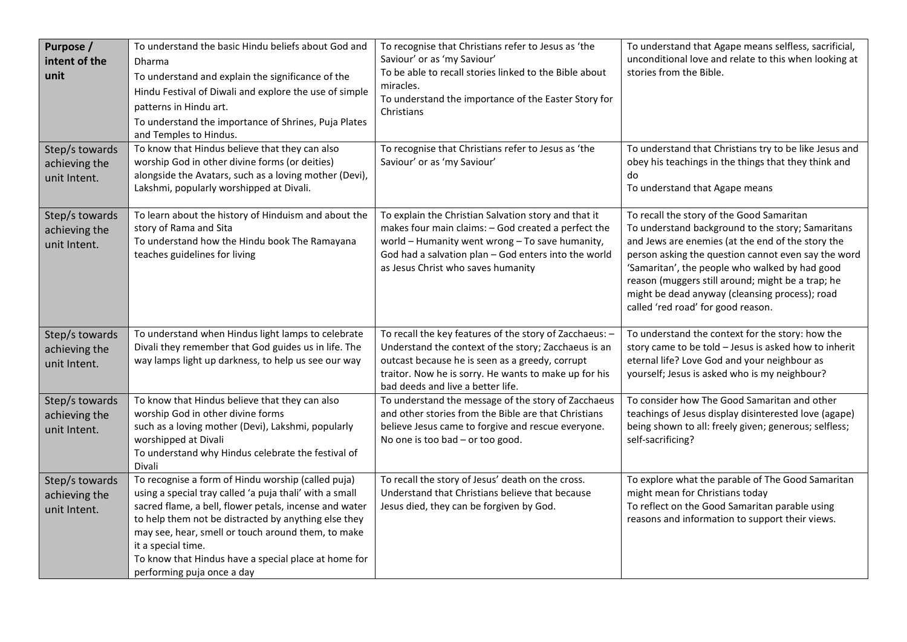| Purpose /<br>intent of the<br>unit<br>Step/s towards<br>achieving the<br>unit Intent. | To understand the basic Hindu beliefs about God and<br>Dharma<br>To understand and explain the significance of the<br>Hindu Festival of Diwali and explore the use of simple<br>patterns in Hindu art.<br>To understand the importance of Shrines, Puja Plates<br>and Temples to Hindus.<br>To know that Hindus believe that they can also<br>worship God in other divine forms (or deities)<br>alongside the Avatars, such as a loving mother (Devi),<br>Lakshmi, popularly worshipped at Divali. | To recognise that Christians refer to Jesus as 'the<br>Saviour' or as 'my Saviour'<br>To be able to recall stories linked to the Bible about<br>miracles.<br>To understand the importance of the Easter Story for<br>Christians<br>To recognise that Christians refer to Jesus as 'the<br>Saviour' or as 'my Saviour' | To understand that Agape means selfless, sacrificial,<br>unconditional love and relate to this when looking at<br>stories from the Bible.<br>To understand that Christians try to be like Jesus and<br>obey his teachings in the things that they think and<br>do<br>To understand that Agape means                                                                                                       |
|---------------------------------------------------------------------------------------|----------------------------------------------------------------------------------------------------------------------------------------------------------------------------------------------------------------------------------------------------------------------------------------------------------------------------------------------------------------------------------------------------------------------------------------------------------------------------------------------------|-----------------------------------------------------------------------------------------------------------------------------------------------------------------------------------------------------------------------------------------------------------------------------------------------------------------------|-----------------------------------------------------------------------------------------------------------------------------------------------------------------------------------------------------------------------------------------------------------------------------------------------------------------------------------------------------------------------------------------------------------|
| Step/s towards<br>achieving the<br>unit Intent.                                       | To learn about the history of Hinduism and about the<br>story of Rama and Sita<br>To understand how the Hindu book The Ramayana<br>teaches guidelines for living                                                                                                                                                                                                                                                                                                                                   | To explain the Christian Salvation story and that it<br>makes four main claims: - God created a perfect the<br>world - Humanity went wrong - To save humanity,<br>God had a salvation plan - God enters into the world<br>as Jesus Christ who saves humanity                                                          | To recall the story of the Good Samaritan<br>To understand background to the story; Samaritans<br>and Jews are enemies (at the end of the story the<br>person asking the question cannot even say the word<br>'Samaritan', the people who walked by had good<br>reason (muggers still around; might be a trap; he<br>might be dead anyway (cleansing process); road<br>called 'red road' for good reason. |
| Step/s towards<br>achieving the<br>unit Intent.                                       | To understand when Hindus light lamps to celebrate<br>Divali they remember that God guides us in life. The<br>way lamps light up darkness, to help us see our way                                                                                                                                                                                                                                                                                                                                  | To recall the key features of the story of Zacchaeus: -<br>Understand the context of the story; Zacchaeus is an<br>outcast because he is seen as a greedy, corrupt<br>traitor. Now he is sorry. He wants to make up for his<br>bad deeds and live a better life.                                                      | To understand the context for the story: how the<br>story came to be told - Jesus is asked how to inherit<br>eternal life? Love God and your neighbour as<br>yourself; Jesus is asked who is my neighbour?                                                                                                                                                                                                |
| Step/s towards<br>achieving the<br>unit Intent.                                       | To know that Hindus believe that they can also<br>worship God in other divine forms<br>such as a loving mother (Devi), Lakshmi, popularly<br>worshipped at Divali<br>To understand why Hindus celebrate the festival of<br>Divali                                                                                                                                                                                                                                                                  | To understand the message of the story of Zacchaeus<br>and other stories from the Bible are that Christians<br>believe Jesus came to forgive and rescue everyone.<br>No one is too bad - or too good.                                                                                                                 | To consider how The Good Samaritan and other<br>teachings of Jesus display disinterested love (agape)<br>being shown to all: freely given; generous; selfless;<br>self-sacrificing?                                                                                                                                                                                                                       |
| Step/s towards<br>achieving the<br>unit Intent.                                       | To recognise a form of Hindu worship (called puja)<br>using a special tray called 'a puja thali' with a small<br>sacred flame, a bell, flower petals, incense and water<br>to help them not be distracted by anything else they<br>may see, hear, smell or touch around them, to make<br>it a special time.<br>To know that Hindus have a special place at home for<br>performing puja once a day                                                                                                  | To recall the story of Jesus' death on the cross.<br>Understand that Christians believe that because<br>Jesus died, they can be forgiven by God.                                                                                                                                                                      | To explore what the parable of The Good Samaritan<br>might mean for Christians today<br>To reflect on the Good Samaritan parable using<br>reasons and information to support their views.                                                                                                                                                                                                                 |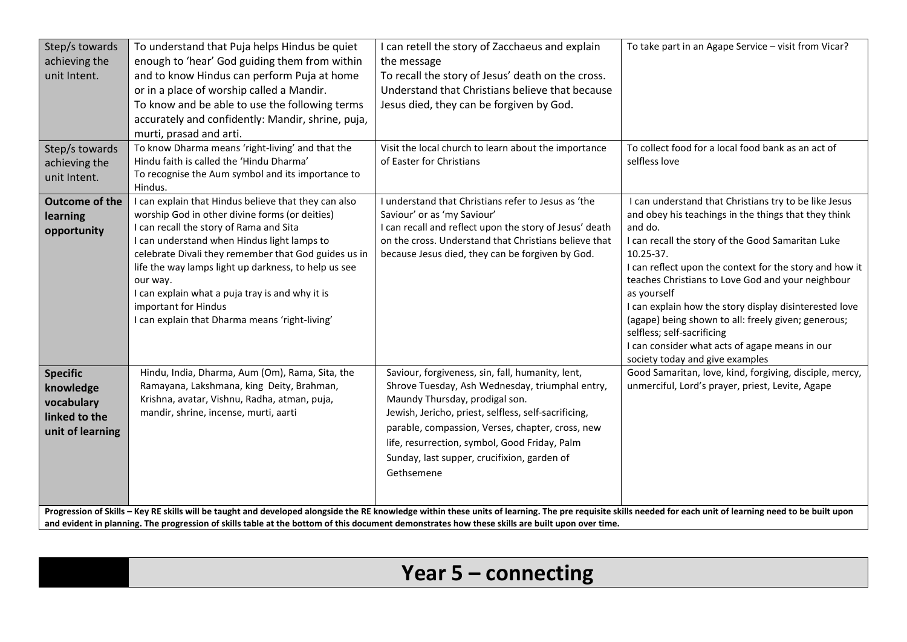| Step/s towards<br>achieving the<br>unit Intent.<br>Step/s towards<br>achieving the<br>unit Intent. | To understand that Puja helps Hindus be quiet<br>enough to 'hear' God guiding them from within<br>and to know Hindus can perform Puja at home<br>or in a place of worship called a Mandir.<br>To know and be able to use the following terms<br>accurately and confidently: Mandir, shrine, puja,<br>murti, prasad and arti.<br>To know Dharma means 'right-living' and that the<br>Hindu faith is called the 'Hindu Dharma'<br>To recognise the Aum symbol and its importance to<br>Hindus. | I can retell the story of Zacchaeus and explain<br>the message<br>To recall the story of Jesus' death on the cross.<br>Understand that Christians believe that because<br>Jesus died, they can be forgiven by God.<br>Visit the local church to learn about the importance<br>of Easter for Christians                                                          | To take part in an Agape Service - visit from Vicar?<br>To collect food for a local food bank as an act of<br>selfless love                                                                                                                                                                                                                                                                                                                                                                                                                                   |
|----------------------------------------------------------------------------------------------------|----------------------------------------------------------------------------------------------------------------------------------------------------------------------------------------------------------------------------------------------------------------------------------------------------------------------------------------------------------------------------------------------------------------------------------------------------------------------------------------------|-----------------------------------------------------------------------------------------------------------------------------------------------------------------------------------------------------------------------------------------------------------------------------------------------------------------------------------------------------------------|---------------------------------------------------------------------------------------------------------------------------------------------------------------------------------------------------------------------------------------------------------------------------------------------------------------------------------------------------------------------------------------------------------------------------------------------------------------------------------------------------------------------------------------------------------------|
| <b>Outcome of the</b><br>learning<br>opportunity                                                   | I can explain that Hindus believe that they can also<br>worship God in other divine forms (or deities)<br>I can recall the story of Rama and Sita<br>I can understand when Hindus light lamps to<br>celebrate Divali they remember that God guides us in<br>life the way lamps light up darkness, to help us see<br>our way.<br>I can explain what a puja tray is and why it is<br>important for Hindus<br>I can explain that Dharma means 'right-living'                                    | I understand that Christians refer to Jesus as 'the<br>Saviour' or as 'my Saviour'<br>I can recall and reflect upon the story of Jesus' death<br>on the cross. Understand that Christians believe that<br>because Jesus died, they can be forgiven by God.                                                                                                      | I can understand that Christians try to be like Jesus<br>and obey his teachings in the things that they think<br>and do.<br>I can recall the story of the Good Samaritan Luke<br>10.25-37.<br>I can reflect upon the context for the story and how it<br>teaches Christians to Love God and your neighbour<br>as yourself<br>I can explain how the story display disinterested love<br>(agape) being shown to all: freely given; generous;<br>selfless; self-sacrificing<br>I can consider what acts of agape means in our<br>society today and give examples |
| <b>Specific</b><br>knowledge<br>vocabulary<br>linked to the<br>unit of learning                    | Hindu, India, Dharma, Aum (Om), Rama, Sita, the<br>Ramayana, Lakshmana, king Deity, Brahman,<br>Krishna, avatar, Vishnu, Radha, atman, puja,<br>mandir, shrine, incense, murti, aarti<br>Progression of Skills - Key RE skills will be taught and developed alongside the RE knowledge within these units of learning. The pre requisite skills needed for each unit of learning need to be built upon                                                                                       | Saviour, forgiveness, sin, fall, humanity, lent,<br>Shrove Tuesday, Ash Wednesday, triumphal entry,<br>Maundy Thursday, prodigal son.<br>Jewish, Jericho, priest, selfless, self-sacrificing,<br>parable, compassion, Verses, chapter, cross, new<br>life, resurrection, symbol, Good Friday, Palm<br>Sunday, last supper, crucifixion, garden of<br>Gethsemene | Good Samaritan, love, kind, forgiving, disciple, mercy,<br>unmerciful, Lord's prayer, priest, Levite, Agape                                                                                                                                                                                                                                                                                                                                                                                                                                                   |

## Year 5 – connecting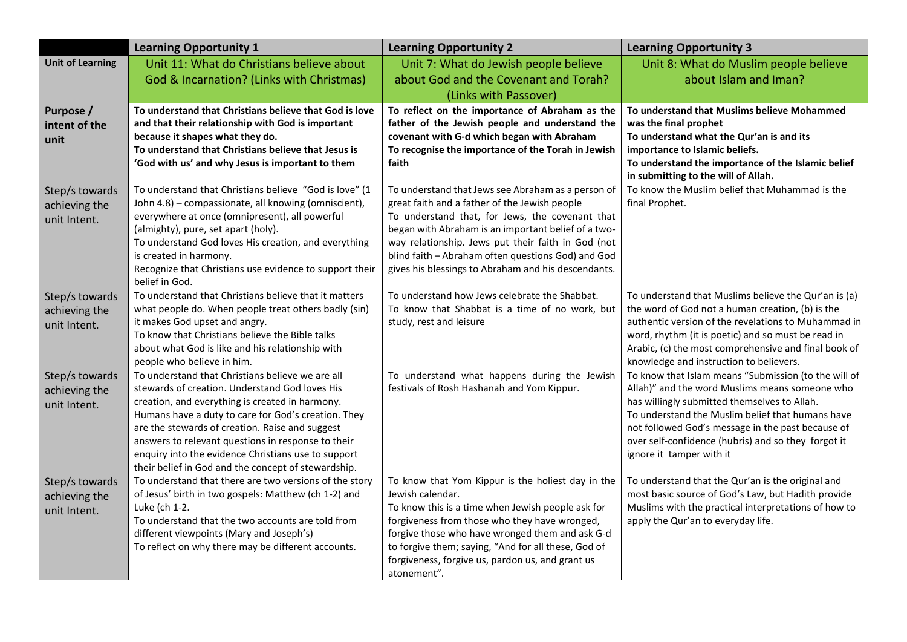|                                                 | <b>Learning Opportunity 1</b>                                                                                                                                                                                                                                                                                                                                                                                                       | <b>Learning Opportunity 2</b>                                                                                                                                                                                                                                                                                                                                                    | <b>Learning Opportunity 3</b>                                                                                                                                                                                                                                                                                                                      |
|-------------------------------------------------|-------------------------------------------------------------------------------------------------------------------------------------------------------------------------------------------------------------------------------------------------------------------------------------------------------------------------------------------------------------------------------------------------------------------------------------|----------------------------------------------------------------------------------------------------------------------------------------------------------------------------------------------------------------------------------------------------------------------------------------------------------------------------------------------------------------------------------|----------------------------------------------------------------------------------------------------------------------------------------------------------------------------------------------------------------------------------------------------------------------------------------------------------------------------------------------------|
| <b>Unit of Learning</b>                         | Unit 11: What do Christians believe about                                                                                                                                                                                                                                                                                                                                                                                           | Unit 7: What do Jewish people believe                                                                                                                                                                                                                                                                                                                                            | Unit 8: What do Muslim people believe                                                                                                                                                                                                                                                                                                              |
|                                                 | God & Incarnation? (Links with Christmas)                                                                                                                                                                                                                                                                                                                                                                                           | about God and the Covenant and Torah?                                                                                                                                                                                                                                                                                                                                            | about Islam and Iman?                                                                                                                                                                                                                                                                                                                              |
|                                                 |                                                                                                                                                                                                                                                                                                                                                                                                                                     | (Links with Passover)                                                                                                                                                                                                                                                                                                                                                            |                                                                                                                                                                                                                                                                                                                                                    |
| Purpose /<br>intent of the<br>unit              | To understand that Christians believe that God is love<br>and that their relationship with God is important<br>because it shapes what they do.<br>To understand that Christians believe that Jesus is<br>'God with us' and why Jesus is important to them                                                                                                                                                                           | To reflect on the importance of Abraham as the<br>father of the Jewish people and understand the<br>covenant with G-d which began with Abraham<br>To recognise the importance of the Torah in Jewish<br>faith                                                                                                                                                                    | To understand that Muslims believe Mohammed<br>was the final prophet<br>To understand what the Qur'an is and its<br>importance to Islamic beliefs.<br>To understand the importance of the Islamic belief<br>in submitting to the will of Allah.                                                                                                    |
| Step/s towards<br>achieving the<br>unit Intent. | To understand that Christians believe "God is love" (1<br>John 4.8) - compassionate, all knowing (omniscient),<br>everywhere at once (omnipresent), all powerful<br>(almighty), pure, set apart (holy).<br>To understand God loves His creation, and everything<br>is created in harmony.<br>Recognize that Christians use evidence to support their<br>belief in God.                                                              | To understand that Jews see Abraham as a person of<br>great faith and a father of the Jewish people<br>To understand that, for Jews, the covenant that<br>began with Abraham is an important belief of a two-<br>way relationship. Jews put their faith in God (not<br>blind faith - Abraham often questions God) and God<br>gives his blessings to Abraham and his descendants. | To know the Muslim belief that Muhammad is the<br>final Prophet.                                                                                                                                                                                                                                                                                   |
| Step/s towards<br>achieving the<br>unit Intent. | To understand that Christians believe that it matters<br>what people do. When people treat others badly (sin)<br>it makes God upset and angry.<br>To know that Christians believe the Bible talks<br>about what God is like and his relationship with<br>people who believe in him.                                                                                                                                                 | To understand how Jews celebrate the Shabbat.<br>To know that Shabbat is a time of no work, but<br>study, rest and leisure                                                                                                                                                                                                                                                       | To understand that Muslims believe the Qur'an is (a)<br>the word of God not a human creation, (b) is the<br>authentic version of the revelations to Muhammad in<br>word, rhythm (it is poetic) and so must be read in<br>Arabic, (c) the most comprehensive and final book of<br>knowledge and instruction to believers.                           |
| Step/s towards<br>achieving the<br>unit Intent. | To understand that Christians believe we are all<br>stewards of creation. Understand God loves His<br>creation, and everything is created in harmony.<br>Humans have a duty to care for God's creation. They<br>are the stewards of creation. Raise and suggest<br>answers to relevant questions in response to their<br>enquiry into the evidence Christians use to support<br>their belief in God and the concept of stewardship. | To understand what happens during the Jewish<br>festivals of Rosh Hashanah and Yom Kippur.                                                                                                                                                                                                                                                                                       | To know that Islam means "Submission (to the will of<br>Allah)" and the word Muslims means someone who<br>has willingly submitted themselves to Allah.<br>To understand the Muslim belief that humans have<br>not followed God's message in the past because of<br>over self-confidence (hubris) and so they forgot it<br>ignore it tamper with it |
| Step/s towards<br>achieving the<br>unit Intent. | To understand that there are two versions of the story<br>of Jesus' birth in two gospels: Matthew (ch 1-2) and<br>Luke (ch 1-2.<br>To understand that the two accounts are told from<br>different viewpoints (Mary and Joseph's)<br>To reflect on why there may be different accounts.                                                                                                                                              | To know that Yom Kippur is the holiest day in the<br>Jewish calendar.<br>To know this is a time when Jewish people ask for<br>forgiveness from those who they have wronged,<br>forgive those who have wronged them and ask G-d<br>to forgive them; saying, "And for all these, God of<br>forgiveness, forgive us, pardon us, and grant us<br>atonement".                         | To understand that the Qur'an is the original and<br>most basic source of God's Law, but Hadith provide<br>Muslims with the practical interpretations of how to<br>apply the Qur'an to everyday life.                                                                                                                                              |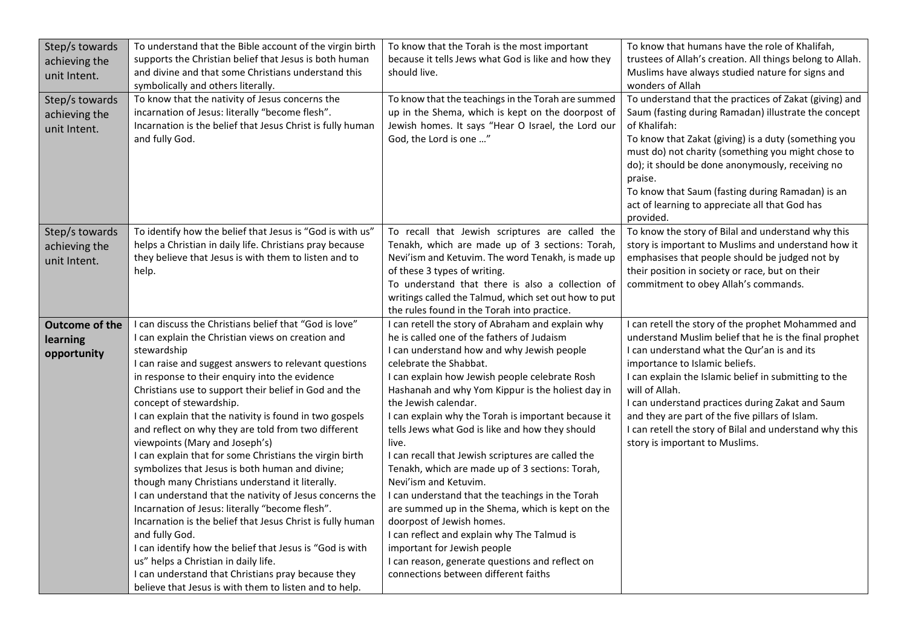| Step/s towards        | To understand that the Bible account of the virgin birth   | To know that the Torah is the most important         | To know that humans have the role of Khalifah,            |
|-----------------------|------------------------------------------------------------|------------------------------------------------------|-----------------------------------------------------------|
| achieving the         | supports the Christian belief that Jesus is both human     | because it tells Jews what God is like and how they  | trustees of Allah's creation. All things belong to Allah. |
| unit Intent.          | and divine and that some Christians understand this        | should live.                                         | Muslims have always studied nature for signs and          |
|                       | symbolically and others literally.                         |                                                      | wonders of Allah                                          |
| Step/s towards        | To know that the nativity of Jesus concerns the            | To know that the teachings in the Torah are summed   | To understand that the practices of Zakat (giving) and    |
| achieving the         | incarnation of Jesus: literally "become flesh".            | up in the Shema, which is kept on the doorpost of    | Saum (fasting during Ramadan) illustrate the concept      |
| unit Intent.          | Incarnation is the belief that Jesus Christ is fully human | Jewish homes. It says "Hear O Israel, the Lord our   | of Khalifah:                                              |
|                       | and fully God.                                             | God, the Lord is one "                               | To know that Zakat (giving) is a duty (something you      |
|                       |                                                            |                                                      | must do) not charity (something you might chose to        |
|                       |                                                            |                                                      | do); it should be done anonymously, receiving no          |
|                       |                                                            |                                                      | praise.                                                   |
|                       |                                                            |                                                      | To know that Saum (fasting during Ramadan) is an          |
|                       |                                                            |                                                      | act of learning to appreciate all that God has            |
|                       |                                                            |                                                      | provided.                                                 |
| Step/s towards        | To identify how the belief that Jesus is "God is with us"  | To recall that Jewish scriptures are called the      | To know the story of Bilal and understand why this        |
| achieving the         | helps a Christian in daily life. Christians pray because   | Tenakh, which are made up of 3 sections: Torah,      | story is important to Muslims and understand how it       |
| unit Intent.          | they believe that Jesus is with them to listen and to      | Nevi'ism and Ketuvim. The word Tenakh, is made up    | emphasises that people should be judged not by            |
|                       | help.                                                      | of these 3 types of writing.                         | their position in society or race, but on their           |
|                       |                                                            | To understand that there is also a collection of     | commitment to obey Allah's commands.                      |
|                       |                                                            | writings called the Talmud, which set out how to put |                                                           |
|                       |                                                            | the rules found in the Torah into practice.          |                                                           |
| <b>Outcome of the</b> | I can discuss the Christians belief that "God is love"     | I can retell the story of Abraham and explain why    | I can retell the story of the prophet Mohammed and        |
| learning              | I can explain the Christian views on creation and          | he is called one of the fathers of Judaism           | understand Muslim belief that he is the final prophet     |
| opportunity           | stewardship                                                | I can understand how and why Jewish people           | I can understand what the Qur'an is and its               |
|                       | I can raise and suggest answers to relevant questions      | celebrate the Shabbat.                               | importance to Islamic beliefs.                            |
|                       | in response to their enquiry into the evidence             | I can explain how Jewish people celebrate Rosh       | I can explain the Islamic belief in submitting to the     |
|                       | Christians use to support their belief in God and the      | Hashanah and why Yom Kippur is the holiest day in    | will of Allah.                                            |
|                       | concept of stewardship.                                    | the Jewish calendar.                                 | I can understand practices during Zakat and Saum          |
|                       | I can explain that the nativity is found in two gospels    | I can explain why the Torah is important because it  | and they are part of the five pillars of Islam.           |
|                       | and reflect on why they are told from two different        | tells Jews what God is like and how they should      | I can retell the story of Bilal and understand why this   |
|                       | viewpoints (Mary and Joseph's)                             | live.                                                | story is important to Muslims.                            |
|                       | I can explain that for some Christians the virgin birth    | I can recall that Jewish scriptures are called the   |                                                           |
|                       | symbolizes that Jesus is both human and divine;            | Tenakh, which are made up of 3 sections: Torah,      |                                                           |
|                       | though many Christians understand it literally.            | Nevi'ism and Ketuvim.                                |                                                           |
|                       | I can understand that the nativity of Jesus concerns the   | I can understand that the teachings in the Torah     |                                                           |
|                       | Incarnation of Jesus: literally "become flesh".            | are summed up in the Shema, which is kept on the     |                                                           |
|                       | Incarnation is the belief that Jesus Christ is fully human | doorpost of Jewish homes.                            |                                                           |
|                       | and fully God.                                             | I can reflect and explain why The Talmud is          |                                                           |
|                       | I can identify how the belief that Jesus is "God is with   | important for Jewish people                          |                                                           |
|                       | us" helps a Christian in daily life.                       | I can reason, generate questions and reflect on      |                                                           |
|                       | I can understand that Christians pray because they         | connections between different faiths                 |                                                           |
|                       | believe that Jesus is with them to listen and to help.     |                                                      |                                                           |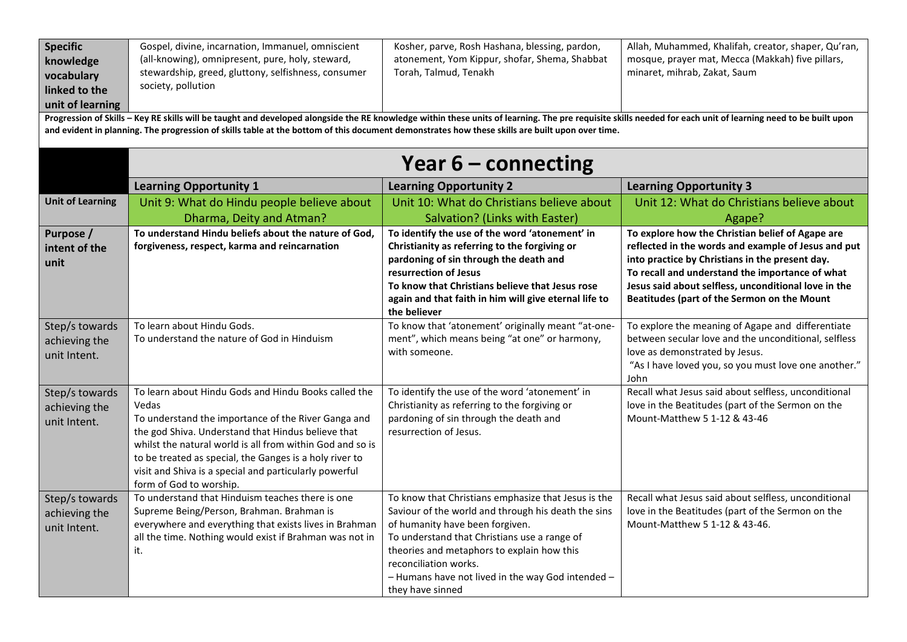| <b>Specific</b><br>knowledge<br>vocabulary<br>linked to the<br>unit of learning                                                                                                                                                                                                                                                                                  | Gospel, divine, incarnation, Immanuel, omniscient<br>(all-knowing), omnipresent, pure, holy, steward,<br>stewardship, greed, gluttony, selfishness, consumer<br>society, pollution                                                                                                                                                                                                      | Kosher, parve, Rosh Hashana, blessing, pardon,<br>atonement, Yom Kippur, shofar, Shema, Shabbat<br>Torah, Talmud, Tenakh                                                                                                                                                                                                                      | Allah, Muhammed, Khalifah, creator, shaper, Qu'ran,<br>mosque, prayer mat, Mecca (Makkah) five pillars,<br>minaret, mihrab, Zakat, Saum                                                                                                                                                                              |  |  |  |  |
|------------------------------------------------------------------------------------------------------------------------------------------------------------------------------------------------------------------------------------------------------------------------------------------------------------------------------------------------------------------|-----------------------------------------------------------------------------------------------------------------------------------------------------------------------------------------------------------------------------------------------------------------------------------------------------------------------------------------------------------------------------------------|-----------------------------------------------------------------------------------------------------------------------------------------------------------------------------------------------------------------------------------------------------------------------------------------------------------------------------------------------|----------------------------------------------------------------------------------------------------------------------------------------------------------------------------------------------------------------------------------------------------------------------------------------------------------------------|--|--|--|--|
| Progression of Skills - Key RE skills will be taught and developed alongside the RE knowledge within these units of learning. The pre requisite skills needed for each unit of learning need to be built upon<br>and evident in planning. The progression of skills table at the bottom of this document demonstrates how these skills are built upon over time. |                                                                                                                                                                                                                                                                                                                                                                                         |                                                                                                                                                                                                                                                                                                                                               |                                                                                                                                                                                                                                                                                                                      |  |  |  |  |
|                                                                                                                                                                                                                                                                                                                                                                  | <b>Year 6 - connecting</b>                                                                                                                                                                                                                                                                                                                                                              |                                                                                                                                                                                                                                                                                                                                               |                                                                                                                                                                                                                                                                                                                      |  |  |  |  |
|                                                                                                                                                                                                                                                                                                                                                                  | <b>Learning Opportunity 1</b>                                                                                                                                                                                                                                                                                                                                                           | <b>Learning Opportunity 2</b>                                                                                                                                                                                                                                                                                                                 | <b>Learning Opportunity 3</b>                                                                                                                                                                                                                                                                                        |  |  |  |  |
| <b>Unit of Learning</b>                                                                                                                                                                                                                                                                                                                                          | Unit 9: What do Hindu people believe about<br>Dharma, Deity and Atman?                                                                                                                                                                                                                                                                                                                  | Unit 10: What do Christians believe about<br>Salvation? (Links with Easter)                                                                                                                                                                                                                                                                   | Unit 12: What do Christians believe about<br>Agape?                                                                                                                                                                                                                                                                  |  |  |  |  |
| Purpose /<br>intent of the<br>unit                                                                                                                                                                                                                                                                                                                               | To understand Hindu beliefs about the nature of God,<br>forgiveness, respect, karma and reincarnation                                                                                                                                                                                                                                                                                   | To identify the use of the word 'atonement' in<br>Christianity as referring to the forgiving or<br>pardoning of sin through the death and<br>resurrection of Jesus<br>To know that Christians believe that Jesus rose<br>again and that faith in him will give eternal life to<br>the believer                                                | To explore how the Christian belief of Agape are<br>reflected in the words and example of Jesus and put<br>into practice by Christians in the present day.<br>To recall and understand the importance of what<br>Jesus said about selfless, unconditional love in the<br>Beatitudes (part of the Sermon on the Mount |  |  |  |  |
| Step/s towards<br>achieving the<br>unit Intent.                                                                                                                                                                                                                                                                                                                  | To learn about Hindu Gods.<br>To understand the nature of God in Hinduism                                                                                                                                                                                                                                                                                                               | To know that 'atonement' originally meant "at-one-<br>ment", which means being "at one" or harmony,<br>with someone.                                                                                                                                                                                                                          | To explore the meaning of Agape and differentiate<br>between secular love and the unconditional, selfless<br>love as demonstrated by Jesus.<br>"As I have loved you, so you must love one another."<br>John                                                                                                          |  |  |  |  |
| Step/s towards<br>achieving the<br>unit Intent.                                                                                                                                                                                                                                                                                                                  | To learn about Hindu Gods and Hindu Books called the<br>Vedas<br>To understand the importance of the River Ganga and<br>the god Shiva. Understand that Hindus believe that<br>whilst the natural world is all from within God and so is<br>to be treated as special, the Ganges is a holy river to<br>visit and Shiva is a special and particularly powerful<br>form of God to worship. | To identify the use of the word 'atonement' in<br>Christianity as referring to the forgiving or<br>pardoning of sin through the death and<br>resurrection of Jesus.                                                                                                                                                                           | Recall what Jesus said about selfless, unconditional<br>love in the Beatitudes (part of the Sermon on the<br>Mount-Matthew 5 1-12 & 43-46                                                                                                                                                                            |  |  |  |  |
| Step/s towards<br>achieving the<br>unit Intent.                                                                                                                                                                                                                                                                                                                  | To understand that Hinduism teaches there is one<br>Supreme Being/Person, Brahman. Brahman is<br>everywhere and everything that exists lives in Brahman<br>all the time. Nothing would exist if Brahman was not in<br>it.                                                                                                                                                               | To know that Christians emphasize that Jesus is the<br>Saviour of the world and through his death the sins<br>of humanity have been forgiven.<br>To understand that Christians use a range of<br>theories and metaphors to explain how this<br>reconciliation works.<br>- Humans have not lived in the way God intended -<br>they have sinned | Recall what Jesus said about selfless, unconditional<br>love in the Beatitudes (part of the Sermon on the<br>Mount-Matthew 5 1-12 & 43-46.                                                                                                                                                                           |  |  |  |  |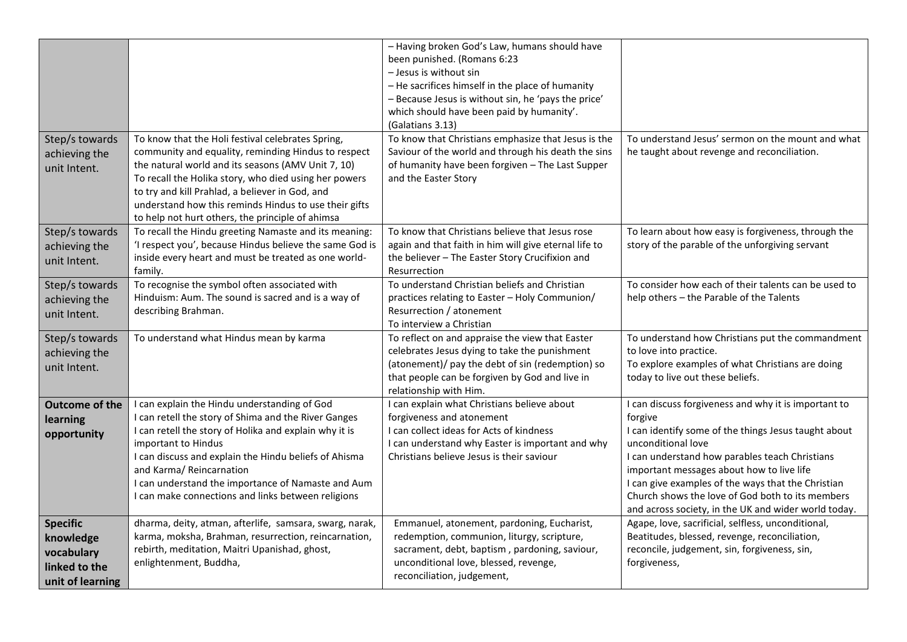|                                                                                 |                                                                                                                                                                                                                                                                                                                                                                                         | - Having broken God's Law, humans should have<br>been punished. (Romans 6:23<br>- Jesus is without sin<br>- He sacrifices himself in the place of humanity<br>- Because Jesus is without sin, he 'pays the price'<br>which should have been paid by humanity'.<br>(Galatians 3.13)<br>To know that Christians emphasize that Jesus is the | To understand Jesus' sermon on the mount and what                                                                                                                                                                                                                                                                                                                                                              |
|---------------------------------------------------------------------------------|-----------------------------------------------------------------------------------------------------------------------------------------------------------------------------------------------------------------------------------------------------------------------------------------------------------------------------------------------------------------------------------------|-------------------------------------------------------------------------------------------------------------------------------------------------------------------------------------------------------------------------------------------------------------------------------------------------------------------------------------------|----------------------------------------------------------------------------------------------------------------------------------------------------------------------------------------------------------------------------------------------------------------------------------------------------------------------------------------------------------------------------------------------------------------|
| Step/s towards<br>achieving the<br>unit Intent.                                 | To know that the Holi festival celebrates Spring,<br>community and equality, reminding Hindus to respect<br>the natural world and its seasons (AMV Unit 7, 10)<br>To recall the Holika story, who died using her powers<br>to try and kill Prahlad, a believer in God, and<br>understand how this reminds Hindus to use their gifts<br>to help not hurt others, the principle of ahimsa | Saviour of the world and through his death the sins<br>of humanity have been forgiven - The Last Supper<br>and the Easter Story                                                                                                                                                                                                           | he taught about revenge and reconciliation.                                                                                                                                                                                                                                                                                                                                                                    |
| Step/s towards<br>achieving the<br>unit Intent.                                 | To recall the Hindu greeting Namaste and its meaning:<br>'I respect you', because Hindus believe the same God is<br>inside every heart and must be treated as one world-<br>family.                                                                                                                                                                                                     | To know that Christians believe that Jesus rose<br>again and that faith in him will give eternal life to<br>the believer - The Easter Story Crucifixion and<br>Resurrection                                                                                                                                                               | To learn about how easy is forgiveness, through the<br>story of the parable of the unforgiving servant                                                                                                                                                                                                                                                                                                         |
| Step/s towards<br>achieving the<br>unit Intent.                                 | To recognise the symbol often associated with<br>Hinduism: Aum. The sound is sacred and is a way of<br>describing Brahman.                                                                                                                                                                                                                                                              | To understand Christian beliefs and Christian<br>practices relating to Easter - Holy Communion/<br>Resurrection / atonement<br>To interview a Christian                                                                                                                                                                                   | To consider how each of their talents can be used to<br>help others - the Parable of the Talents                                                                                                                                                                                                                                                                                                               |
| Step/s towards<br>achieving the<br>unit Intent.                                 | To understand what Hindus mean by karma                                                                                                                                                                                                                                                                                                                                                 | To reflect on and appraise the view that Easter<br>celebrates Jesus dying to take the punishment<br>(atonement)/ pay the debt of sin (redemption) so<br>that people can be forgiven by God and live in<br>relationship with Him.                                                                                                          | To understand how Christians put the commandment<br>to love into practice.<br>To explore examples of what Christians are doing<br>today to live out these beliefs.                                                                                                                                                                                                                                             |
| <b>Outcome of the</b><br>learning<br>opportunity                                | I can explain the Hindu understanding of God<br>I can retell the story of Shima and the River Ganges<br>I can retell the story of Holika and explain why it is<br>important to Hindus<br>I can discuss and explain the Hindu beliefs of Ahisma<br>and Karma/ Reincarnation<br>I can understand the importance of Namaste and Aum<br>I can make connections and links between religions  | I can explain what Christians believe about<br>forgiveness and atonement<br>I can collect ideas for Acts of kindness<br>I can understand why Easter is important and why<br>Christians believe Jesus is their saviour                                                                                                                     | I can discuss forgiveness and why it is important to<br>forgive<br>I can identify some of the things Jesus taught about<br>unconditional love<br>I can understand how parables teach Christians<br>important messages about how to live life<br>I can give examples of the ways that the Christian<br>Church shows the love of God both to its members<br>and across society, in the UK and wider world today. |
| <b>Specific</b><br>knowledge<br>vocabulary<br>linked to the<br>unit of learning | dharma, deity, atman, afterlife, samsara, swarg, narak,<br>karma, moksha, Brahman, resurrection, reincarnation,<br>rebirth, meditation, Maitri Upanishad, ghost,<br>enlightenment, Buddha,                                                                                                                                                                                              | Emmanuel, atonement, pardoning, Eucharist,<br>redemption, communion, liturgy, scripture,<br>sacrament, debt, baptism, pardoning, saviour,<br>unconditional love, blessed, revenge,<br>reconciliation, judgement,                                                                                                                          | Agape, love, sacrificial, selfless, unconditional,<br>Beatitudes, blessed, revenge, reconciliation,<br>reconcile, judgement, sin, forgiveness, sin,<br>forgiveness,                                                                                                                                                                                                                                            |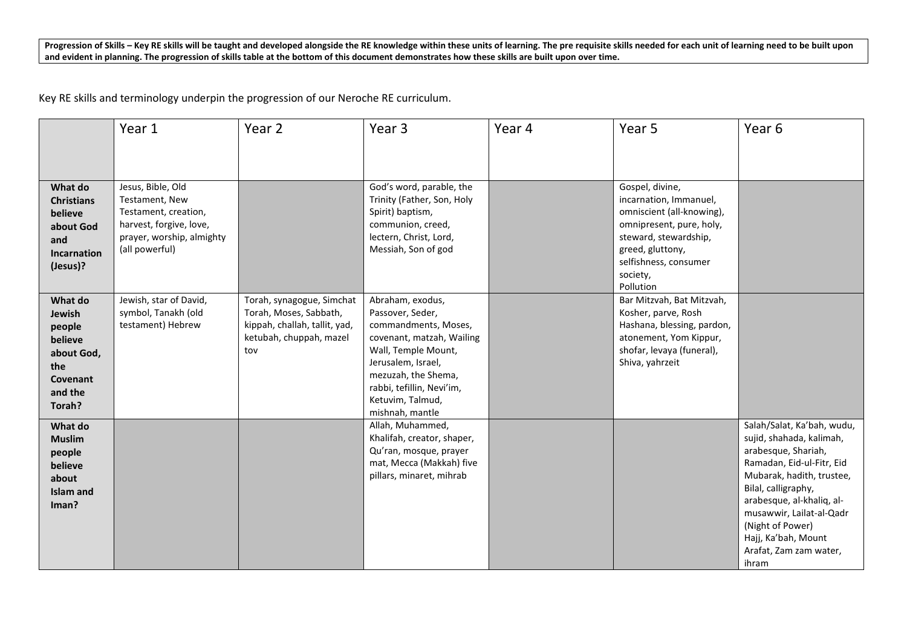Progression of Skills – Key RE skills will be taught and developed alongside the RE knowledge within these units of learning. The pre requisite skills needed for each unit of learning need to be built upon and evident in planning. The progression of skills table at the bottom of this document demonstrates how these skills are built upon over time.

Key RE skills and terminology underpin the progression of our Neroche RE curriculum.

|                                                                                               | Year 1                                                                                                                                | Year 2                                                                                                                 | Year <sub>3</sub>                                                                                                                                                                                                                 | Year 4 | Year 5                                                                                                                                                                                            | Year 6                                                                                                                                                                                                                                                                                                |
|-----------------------------------------------------------------------------------------------|---------------------------------------------------------------------------------------------------------------------------------------|------------------------------------------------------------------------------------------------------------------------|-----------------------------------------------------------------------------------------------------------------------------------------------------------------------------------------------------------------------------------|--------|---------------------------------------------------------------------------------------------------------------------------------------------------------------------------------------------------|-------------------------------------------------------------------------------------------------------------------------------------------------------------------------------------------------------------------------------------------------------------------------------------------------------|
|                                                                                               |                                                                                                                                       |                                                                                                                        |                                                                                                                                                                                                                                   |        |                                                                                                                                                                                                   |                                                                                                                                                                                                                                                                                                       |
| What do<br><b>Christians</b><br>believe<br>about God<br>and<br><b>Incarnation</b><br>(Jesus)? | Jesus, Bible, Old<br>Testament, New<br>Testament, creation,<br>harvest, forgive, love,<br>prayer, worship, almighty<br>(all powerful) |                                                                                                                        | God's word, parable, the<br>Trinity (Father, Son, Holy<br>Spirit) baptism,<br>communion, creed,<br>lectern, Christ, Lord,<br>Messiah, Son of god                                                                                  |        | Gospel, divine,<br>incarnation, Immanuel,<br>omniscient (all-knowing),<br>omnipresent, pure, holy,<br>steward, stewardship,<br>greed, gluttony,<br>selfishness, consumer<br>society,<br>Pollution |                                                                                                                                                                                                                                                                                                       |
| What do<br>Jewish<br>people<br>believe<br>about God,<br>the<br>Covenant<br>and the<br>Torah?  | Jewish, star of David,<br>symbol, Tanakh (old<br>testament) Hebrew                                                                    | Torah, synagogue, Simchat<br>Torah, Moses, Sabbath,<br>kippah, challah, tallit, yad,<br>ketubah, chuppah, mazel<br>tov | Abraham, exodus,<br>Passover, Seder,<br>commandments, Moses,<br>covenant, matzah, Wailing<br>Wall, Temple Mount,<br>Jerusalem, Israel,<br>mezuzah, the Shema,<br>rabbi, tefillin, Nevi'im,<br>Ketuvim, Talmud,<br>mishnah, mantle |        | Bar Mitzvah, Bat Mitzvah,<br>Kosher, parve, Rosh<br>Hashana, blessing, pardon,<br>atonement, Yom Kippur,<br>shofar, levaya (funeral),<br>Shiva, yahrzeit                                          |                                                                                                                                                                                                                                                                                                       |
| What do<br><b>Muslim</b><br>people<br>believe<br>about<br>Islam and<br>Iman?                  |                                                                                                                                       |                                                                                                                        | Allah, Muhammed,<br>Khalifah, creator, shaper,<br>Qu'ran, mosque, prayer<br>mat, Mecca (Makkah) five<br>pillars, minaret, mihrab                                                                                                  |        |                                                                                                                                                                                                   | Salah/Salat, Ka'bah, wudu,<br>sujid, shahada, kalimah,<br>arabesque, Shariah,<br>Ramadan, Eid-ul-Fitr, Eid<br>Mubarak, hadith, trustee,<br>Bilal, calligraphy,<br>arabesque, al-khaliq, al-<br>musawwir, Lailat-al-Qadr<br>(Night of Power)<br>Hajj, Ka'bah, Mount<br>Arafat, Zam zam water,<br>ihram |